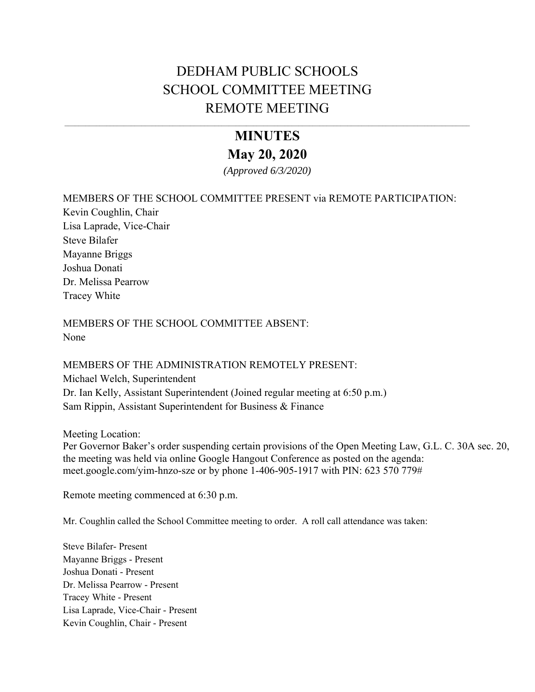# DEDHAM PUBLIC SCHOOLS SCHOOL COMMITTEE MEETING REMOTE MEETING

# **MINUTES May 20, 2020**

*(Approved 6/3/2020)* 

### MEMBERS OF THE SCHOOL COMMITTEE PRESENT via REMOTE PARTICIPATION:

Kevin Coughlin, Chair Lisa Laprade, Vice-Chair Steve Bilafer Mayanne Briggs Joshua Donati Dr. Melissa Pearrow Tracey White

MEMBERS OF THE SCHOOL COMMITTEE ABSENT: None

MEMBERS OF THE ADMINISTRATION REMOTELY PRESENT: Michael Welch, Superintendent Dr. Ian Kelly, Assistant Superintendent (Joined regular meeting at 6:50 p.m.) Sam Rippin, Assistant Superintendent for Business & Finance

Meeting Location:

Per Governor Baker's order suspending certain provisions of the Open Meeting Law, G.L. C. 30A sec. 20, the meeting was held via online Google Hangout Conference as posted on the agenda: [meet.google.com/yim-hnzo-sze](https://meet.google.com/yim-hnzo-sze?hs=122) or by phone 1-406-905-1917 with PIN: 623 570 779#

Remote meeting commenced at 6:30 p.m.

Mr. Coughlin called the School Committee meeting to order. A roll call attendance was taken:

Steve Bilafer- Present Mayanne Briggs - Present Joshua Donati - Present Dr. Melissa Pearrow - Present Tracey White - Present Lisa Laprade, Vice-Chair - Present Kevin Coughlin, Chair - Present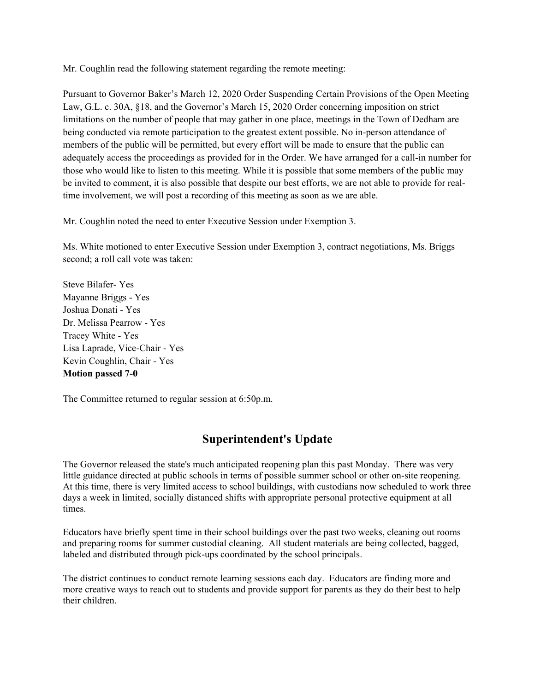Mr. Coughlin read the following statement regarding the remote meeting:

Pursuant to Governor Baker's March 12, 2020 Order Suspending Certain Provisions of the Open Meeting Law, G.L. c. 30A, §18, and the Governor's March 15, 2020 Order concerning imposition on strict limitations on the number of people that may gather in one place, meetings in the Town of Dedham are being conducted via remote participation to the greatest extent possible. No in-person attendance of members of the public will be permitted, but every effort will be made to ensure that the public can adequately access the proceedings as provided for in the Order. We have arranged for a call-in number for those who would like to listen to this meeting. While it is possible that some members of the public may be invited to comment, it is also possible that despite our best efforts, we are not able to provide for realtime involvement, we will post a recording of this meeting as soon as we are able.

Mr. Coughlin noted the need to enter Executive Session under Exemption 3.

Ms. White motioned to enter Executive Session under Exemption 3, contract negotiations, Ms. Briggs second; a roll call vote was taken:

Steve Bilafer- Yes Mayanne Briggs - Yes Joshua Donati - Yes Dr. Melissa Pearrow - Yes Tracey White - Yes Lisa Laprade, Vice-Chair - Yes Kevin Coughlin, Chair - Yes **Motion passed 7-0** 

The Committee returned to regular session at 6:50p.m.

# **Superintendent's Update**

The Governor released the state's much anticipated reopening plan this past Monday. There was very little guidance directed at public schools in terms of possible summer school or other on-site reopening. At this time, there is very limited access to school buildings, with custodians now scheduled to work three days a week in limited, socially distanced shifts with appropriate personal protective equipment at all times.

Educators have briefly spent time in their school buildings over the past two weeks, cleaning out rooms and preparing rooms for summer custodial cleaning. All student materials are being collected, bagged, labeled and distributed through pick-ups coordinated by the school principals.

The district continues to conduct remote learning sessions each day. Educators are finding more and more creative ways to reach out to students and provide support for parents as they do their best to help their children.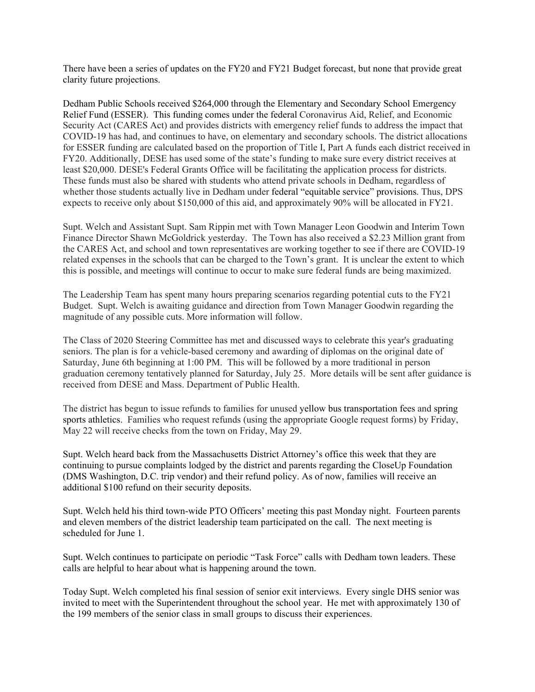There have been a series of updates on the FY20 and FY21 Budget forecast, but none that provide great clarity future projections.

Dedham Public Schools received \$264,000 through the Elementary and Secondary School Emergency Relief Fund (ESSER). This funding comes under the federal Coronavirus Aid, Relief, and Economic Security Act (CARES Act) and provides districts with emergency relief funds to address the impact that COVID-19 has had, and continues to have, on elementary and secondary schools. The district allocations for ESSER funding are calculated based on the proportion of Title I, Part A funds each district received in FY20. Additionally, DESE has used some of the state's funding to make sure every district receives at least \$20,000. DESE's Federal Grants Office will be facilitating the application process for districts. These funds must also be shared with students who attend private schools in Dedham, regardless of whether those students actually live in Dedham under federal "equitable service" provisions. Thus, DPS expects to receive only about \$150,000 of this aid, and approximately 90% will be allocated in FY21.

Supt. Welch and Assistant Supt. Sam Rippin met with Town Manager Leon Goodwin and Interim Town Finance Director Shawn McGoldrick yesterday. The Town has also received a \$2.23 Million grant from the CARES Act, and school and town representatives are working together to see if there are COVID-19 related expenses in the schools that can be charged to the Town's grant. It is unclear the extent to which this is possible, and meetings will continue to occur to make sure federal funds are being maximized.

The Leadership Team has spent many hours preparing scenarios regarding potential cuts to the FY21 Budget. Supt. Welch is awaiting guidance and direction from Town Manager Goodwin regarding the magnitude of any possible cuts. More information will follow.

The Class of 2020 Steering Committee has met and discussed ways to celebrate this year's graduating seniors. The plan is for a vehicle-based ceremony and awarding of diplomas on the original date of Saturday, June 6th beginning at 1:00 PM. This will be followed by a more traditional in person graduation ceremony tentatively planned for Saturday, July 25. More details will be sent after guidance is received from DESE and Mass. Department of Public Health.

The district has begun to issue refunds to families for unused yellow bus transportation fees and spring sports athletics. Families who request refunds (using the appropriate Google request forms) by Friday, May 22 will receive checks from the town on Friday, May 29.

Supt. Welch heard back from the Massachusetts District Attorney's office this week that they are continuing to pursue complaints lodged by the district and parents regarding the CloseUp Foundation (DMS Washington, D.C. trip vendor) and their refund policy. As of now, families will receive an additional \$100 refund on their security deposits.

Supt. Welch held his third town-wide PTO Officers' meeting this past Monday night. Fourteen parents and eleven members of the district leadership team participated on the call. The next meeting is scheduled for June 1.

Supt. Welch continues to participate on periodic "Task Force" calls with Dedham town leaders. These calls are helpful to hear about what is happening around the town.

Today Supt. Welch completed his final session of senior exit interviews. Every single DHS senior was invited to meet with the Superintendent throughout the school year. He met with approximately 130 of the 199 members of the senior class in small groups to discuss their experiences.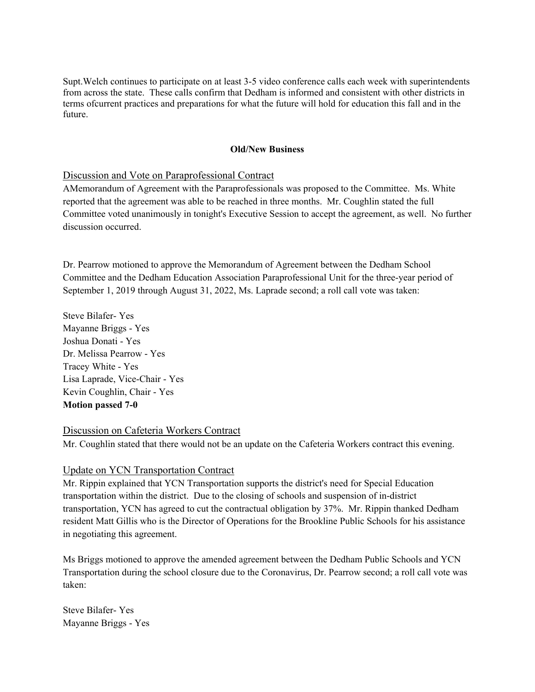Supt.Welch continues to participate on at least 3-5 video conference calls each week with superintendents from across the state. These calls confirm that Dedham is informed and consistent with other districts in terms ofcurrent practices and preparations for what the future will hold for education this fall and in the future.

#### **Old/New Business**

#### Discussion and Vote on Paraprofessional Contract

AMemorandum of Agreement with the Paraprofessionals was proposed to the Committee. Ms. White reported that the agreement was able to be reached in three months. Mr. Coughlin stated the full Committee voted unanimously in tonight's Executive Session to accept the agreement, as well. No further discussion occurred.

Dr. Pearrow motioned to approve the Memorandum of Agreement between the Dedham School Committee and the Dedham Education Association Paraprofessional Unit for the three-year period of September 1, 2019 through August 31, 2022, Ms. Laprade second; a roll call vote was taken:

Steve Bilafer- Yes Mayanne Briggs - Yes Joshua Donati - Yes Dr. Melissa Pearrow - Yes Tracey White - Yes Lisa Laprade, Vice-Chair - Yes Kevin Coughlin, Chair - Yes **Motion passed 7-0** 

#### Discussion on Cafeteria Workers Contract

Mr. Coughlin stated that there would not be an update on the Cafeteria Workers contract this evening.

#### Update on YCN Transportation Contract

Mr. Rippin explained that YCN Transportation supports the district's need for Special Education transportation within the district. Due to the closing of schools and suspension of in-district transportation, YCN has agreed to cut the contractual obligation by 37%. Mr. Rippin thanked Dedham resident Matt Gillis who is the Director of Operations for the Brookline Public Schools for his assistance in negotiating this agreement.

Ms Briggs motioned to approve the amended agreement between the Dedham Public Schools and YCN Transportation during the school closure due to the Coronavirus, Dr. Pearrow second; a roll call vote was taken:

Steve Bilafer- Yes Mayanne Briggs - Yes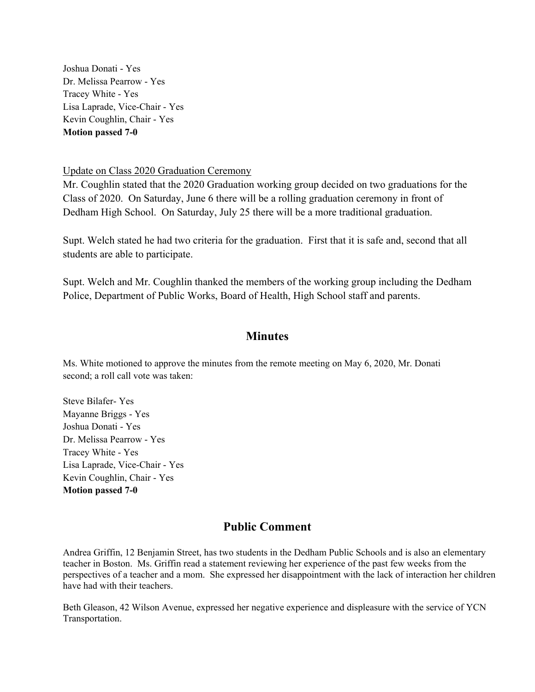Joshua Donati - Yes Dr. Melissa Pearrow - Yes Tracey White - Yes Lisa Laprade, Vice-Chair - Yes Kevin Coughlin, Chair - Yes **Motion passed 7-0** 

#### Update on Class 2020 Graduation Ceremony

Mr. Coughlin stated that the 2020 Graduation working group decided on two graduations for the Class of 2020. On Saturday, June 6 there will be a rolling graduation ceremony in front of Dedham High School. On Saturday, July 25 there will be a more traditional graduation.

Supt. Welch stated he had two criteria for the graduation. First that it is safe and, second that all students are able to participate.

Supt. Welch and Mr. Coughlin thanked the members of the working group including the Dedham Police, Department of Public Works, Board of Health, High School staff and parents.

## **Minutes**

Ms. White motioned to approve the minutes from the remote meeting on May 6, 2020, Mr. Donati second; a roll call vote was taken:

Steve Bilafer- Yes Mayanne Briggs - Yes Joshua Donati - Yes Dr. Melissa Pearrow - Yes Tracey White - Yes Lisa Laprade, Vice-Chair - Yes Kevin Coughlin, Chair - Yes **Motion passed 7-0** 

## **Public Comment**

Andrea Griffin, 12 Benjamin Street, has two students in the Dedham Public Schools and is also an elementary teacher in Boston. Ms. Griffin read a statement reviewing her experience of the past few weeks from the perspectives of a teacher and a mom. She expressed her disappointment with the lack of interaction her children have had with their teachers.

Beth Gleason, 42 Wilson Avenue, expressed her negative experience and displeasure with the service of YCN Transportation.